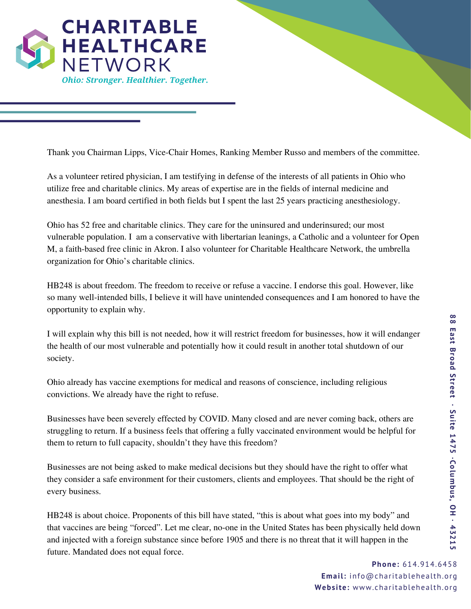

Thank you Chairman Lipps, Vice-Chair Homes, Ranking Member Russo and members of the committee.

As a volunteer retired physician, I am testifying in defense of the interests of all patients in Ohio who utilize free and charitable clinics. My areas of expertise are in the fields of internal medicine and anesthesia. I am board certified in both fields but I spent the last 25 years practicing anesthesiology.

Ohio has 52 free and charitable clinics. They care for the uninsured and underinsured; our most vulnerable population. I am a conservative with libertarian leanings, a Catholic and a volunteer for Open M, a faith-based free clinic in Akron. I also volunteer for Charitable Healthcare Network, the umbrella organization for Ohio's charitable clinics.

HB248 is about freedom. The freedom to receive or refuse a vaccine. I endorse this goal. However, like so many well-intended bills, I believe it will have unintended consequences and I am honored to have the opportunity to explain why.

I will explain why this bill is not needed, how it will restrict freedom for businesses, how it will endanger the health of our most vulnerable and potentially how it could result in another total shutdown of our society.

Ohio already has vaccine exemptions for medical and reasons of conscience, including religious convictions. We already have the right to refuse.

Businesses have been severely effected by COVID. Many closed and are never coming back, others are struggling to return. If a business feels that offering a fully vaccinated environment would be helpful for them to return to full capacity, shouldn't they have this freedom?

Businesses are not being asked to make medical decisions but they should have the right to offer what they consider a safe environment for their customers, clients and employees. That should be the right of every business.

HB248 is about choice. Proponents of this bill have stated, "this is about what goes into my body" and that vaccines are being "forced". Let me clear, no-one in the United States has been physically held down and injected with a foreign substance since before 1905 and there is no threat that it will happen in the future. Mandated does not equal force.

> **Phone:** 614.914.6458 **Email:** info@charitablehealth.org **Webs ite:** www.charitablehealth.org